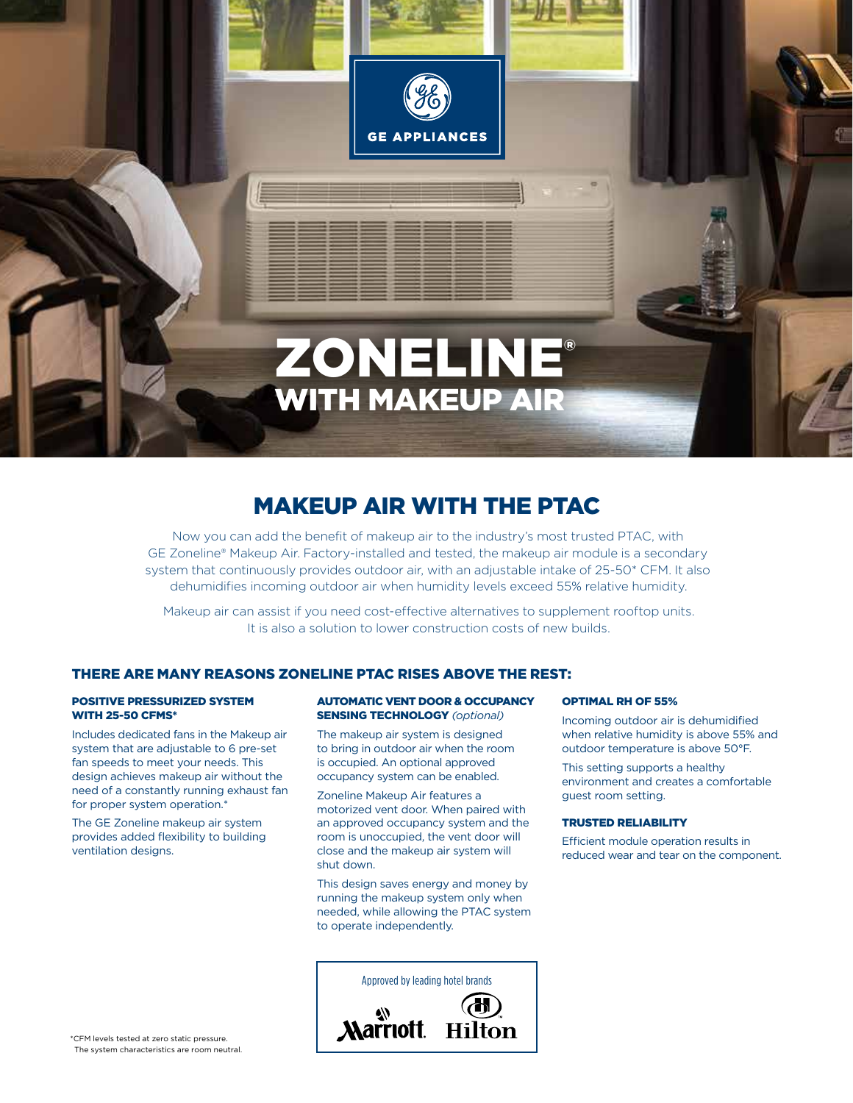

## makeup air with the ptac

Now you can add the benefit of makeup air to the industry's most trusted PTAC, with GE Zoneline® Makeup Air. Factory-installed and tested, the makeup air module is a secondary system that continuously provides outdoor air, with an adjustable intake of 25-50\* CFM. It also dehumidifies incoming outdoor air when humidity levels exceed 55% relative humidity.

Makeup air can assist if you need cost-effective alternatives to supplement rooftop units. It is also a solution to lower construction costs of new builds.

## There are many reasons Zoneline PTAC rises above the rest:

#### Positive pressurized system with 25-50 CFMs\*

Includes dedicated fans in the Makeup air system that are adjustable to 6 pre-set fan speeds to meet your needs. This design achieves makeup air without the need of a constantly running exhaust fan for proper system operation.\*

The GE Zoneline makeup air system provides added flexibility to building ventilation designs.

#### AUTOMATIC VENT DOOR & OCCUPANCY SENSING TECHNOLOGY *(optional)*

The makeup air system is designed to bring in outdoor air when the room is occupied. An optional approved occupancy system can be enabled.

Zoneline Makeup Air features a motorized vent door. When paired with an approved occupancy system and the room is unoccupied, the vent door will close and the makeup air system will shut down.

This design saves energy and money by running the makeup system only when needed, while allowing the PTAC system to operate independently.

#### Optimal RH of 55%

Incoming outdoor air is dehumidified when relative humidity is above 55% and outdoor temperature is above 50°F.

This setting supports a healthy environment and creates a comfortable guest room setting.

#### Trusted Reliability

Efficient module operation results in reduced wear and tear on the component.